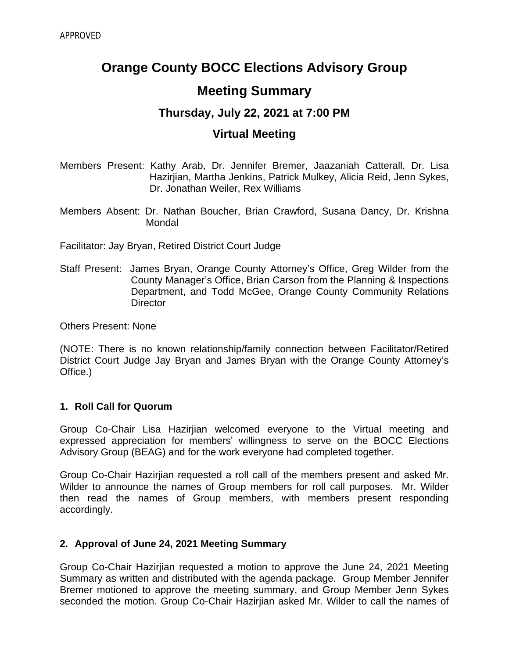# **Orange County BOCC Elections Advisory Group Meeting Summary**

# **Thursday, July 22, 2021 at 7:00 PM**

# **Virtual Meeting**

Members Present: Kathy Arab, Dr. Jennifer Bremer, Jaazaniah Catterall, Dr. Lisa Hazirjian, Martha Jenkins, Patrick Mulkey, Alicia Reid, Jenn Sykes, Dr. Jonathan Weiler, Rex Williams

Members Absent: Dr. Nathan Boucher, Brian Crawford, Susana Dancy, Dr. Krishna Mondal

Facilitator: Jay Bryan, Retired District Court Judge

Staff Present: James Bryan, Orange County Attorney's Office, Greg Wilder from the County Manager's Office, Brian Carson from the Planning & Inspections Department, and Todd McGee, Orange County Community Relations **Director** 

Others Present: None

(NOTE: There is no known relationship/family connection between Facilitator/Retired District Court Judge Jay Bryan and James Bryan with the Orange County Attorney's Office.)

#### **1. Roll Call for Quorum**

Group Co-Chair Lisa Hazirjian welcomed everyone to the Virtual meeting and expressed appreciation for members' willingness to serve on the BOCC Elections Advisory Group (BEAG) and for the work everyone had completed together.

Group Co-Chair Hazirjian requested a roll call of the members present and asked Mr. Wilder to announce the names of Group members for roll call purposes. Mr. Wilder then read the names of Group members, with members present responding accordingly.

#### **2. Approval of June 24, 2021 Meeting Summary**

Group Co-Chair Hazirjian requested a motion to approve the June 24, 2021 Meeting Summary as written and distributed with the agenda package. Group Member Jennifer Bremer motioned to approve the meeting summary, and Group Member Jenn Sykes seconded the motion. Group Co-Chair Hazirjian asked Mr. Wilder to call the names of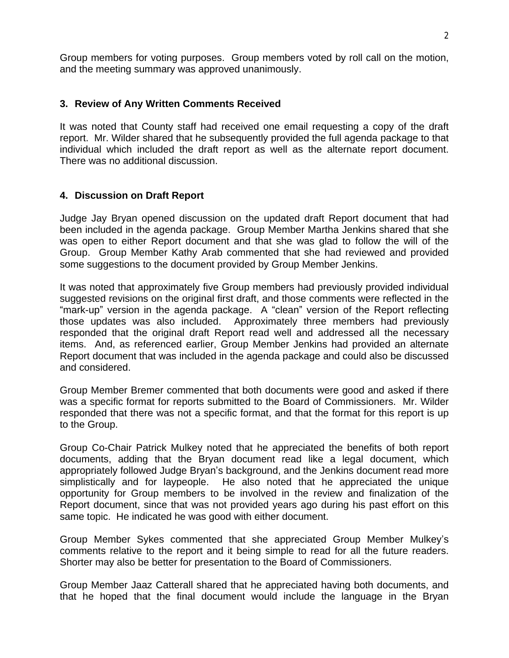Group members for voting purposes. Group members voted by roll call on the motion, and the meeting summary was approved unanimously.

#### **3. Review of Any Written Comments Received**

It was noted that County staff had received one email requesting a copy of the draft report. Mr. Wilder shared that he subsequently provided the full agenda package to that individual which included the draft report as well as the alternate report document. There was no additional discussion.

#### **4. Discussion on Draft Report**

Judge Jay Bryan opened discussion on the updated draft Report document that had been included in the agenda package. Group Member Martha Jenkins shared that she was open to either Report document and that she was glad to follow the will of the Group. Group Member Kathy Arab commented that she had reviewed and provided some suggestions to the document provided by Group Member Jenkins.

It was noted that approximately five Group members had previously provided individual suggested revisions on the original first draft, and those comments were reflected in the "mark-up" version in the agenda package. A "clean" version of the Report reflecting those updates was also included. Approximately three members had previously responded that the original draft Report read well and addressed all the necessary items. And, as referenced earlier, Group Member Jenkins had provided an alternate Report document that was included in the agenda package and could also be discussed and considered.

Group Member Bremer commented that both documents were good and asked if there was a specific format for reports submitted to the Board of Commissioners. Mr. Wilder responded that there was not a specific format, and that the format for this report is up to the Group.

Group Co-Chair Patrick Mulkey noted that he appreciated the benefits of both report documents, adding that the Bryan document read like a legal document, which appropriately followed Judge Bryan's background, and the Jenkins document read more simplistically and for laypeople. He also noted that he appreciated the unique opportunity for Group members to be involved in the review and finalization of the Report document, since that was not provided years ago during his past effort on this same topic. He indicated he was good with either document.

Group Member Sykes commented that she appreciated Group Member Mulkey's comments relative to the report and it being simple to read for all the future readers. Shorter may also be better for presentation to the Board of Commissioners.

Group Member Jaaz Catterall shared that he appreciated having both documents, and that he hoped that the final document would include the language in the Bryan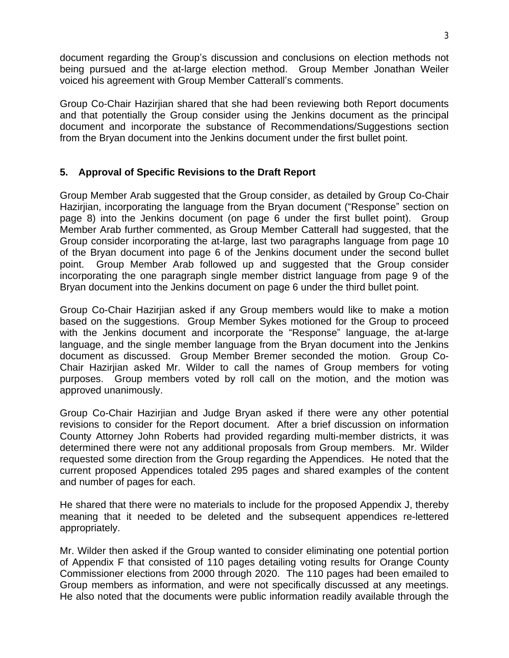document regarding the Group's discussion and conclusions on election methods not being pursued and the at-large election method. Group Member Jonathan Weiler voiced his agreement with Group Member Catterall's comments.

Group Co-Chair Hazirjian shared that she had been reviewing both Report documents and that potentially the Group consider using the Jenkins document as the principal document and incorporate the substance of Recommendations/Suggestions section from the Bryan document into the Jenkins document under the first bullet point.

## **5. Approval of Specific Revisions to the Draft Report**

Group Member Arab suggested that the Group consider, as detailed by Group Co-Chair Hazirjian, incorporating the language from the Bryan document ("Response" section on page 8) into the Jenkins document (on page 6 under the first bullet point). Group Member Arab further commented, as Group Member Catterall had suggested, that the Group consider incorporating the at-large, last two paragraphs language from page 10 of the Bryan document into page 6 of the Jenkins document under the second bullet point. Group Member Arab followed up and suggested that the Group consider incorporating the one paragraph single member district language from page 9 of the Bryan document into the Jenkins document on page 6 under the third bullet point.

Group Co-Chair Hazirjian asked if any Group members would like to make a motion based on the suggestions. Group Member Sykes motioned for the Group to proceed with the Jenkins document and incorporate the "Response" language, the at-large language, and the single member language from the Bryan document into the Jenkins document as discussed. Group Member Bremer seconded the motion. Group Co-Chair Hazirjian asked Mr. Wilder to call the names of Group members for voting purposes. Group members voted by roll call on the motion, and the motion was approved unanimously.

Group Co-Chair Hazirjian and Judge Bryan asked if there were any other potential revisions to consider for the Report document. After a brief discussion on information County Attorney John Roberts had provided regarding multi-member districts, it was determined there were not any additional proposals from Group members. Mr. Wilder requested some direction from the Group regarding the Appendices. He noted that the current proposed Appendices totaled 295 pages and shared examples of the content and number of pages for each.

He shared that there were no materials to include for the proposed Appendix J, thereby meaning that it needed to be deleted and the subsequent appendices re-lettered appropriately.

Mr. Wilder then asked if the Group wanted to consider eliminating one potential portion of Appendix F that consisted of 110 pages detailing voting results for Orange County Commissioner elections from 2000 through 2020. The 110 pages had been emailed to Group members as information, and were not specifically discussed at any meetings. He also noted that the documents were public information readily available through the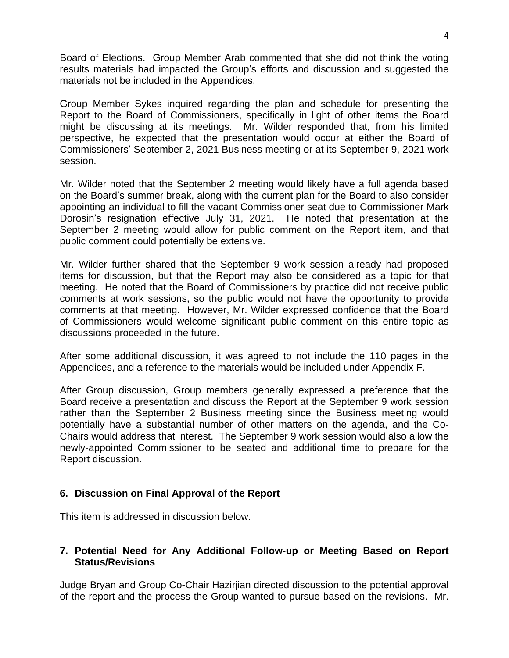Board of Elections. Group Member Arab commented that she did not think the voting results materials had impacted the Group's efforts and discussion and suggested the materials not be included in the Appendices.

Group Member Sykes inquired regarding the plan and schedule for presenting the Report to the Board of Commissioners, specifically in light of other items the Board might be discussing at its meetings. Mr. Wilder responded that, from his limited perspective, he expected that the presentation would occur at either the Board of Commissioners' September 2, 2021 Business meeting or at its September 9, 2021 work session.

Mr. Wilder noted that the September 2 meeting would likely have a full agenda based on the Board's summer break, along with the current plan for the Board to also consider appointing an individual to fill the vacant Commissioner seat due to Commissioner Mark Dorosin's resignation effective July 31, 2021. He noted that presentation at the September 2 meeting would allow for public comment on the Report item, and that public comment could potentially be extensive.

Mr. Wilder further shared that the September 9 work session already had proposed items for discussion, but that the Report may also be considered as a topic for that meeting. He noted that the Board of Commissioners by practice did not receive public comments at work sessions, so the public would not have the opportunity to provide comments at that meeting. However, Mr. Wilder expressed confidence that the Board of Commissioners would welcome significant public comment on this entire topic as discussions proceeded in the future.

After some additional discussion, it was agreed to not include the 110 pages in the Appendices, and a reference to the materials would be included under Appendix F.

After Group discussion, Group members generally expressed a preference that the Board receive a presentation and discuss the Report at the September 9 work session rather than the September 2 Business meeting since the Business meeting would potentially have a substantial number of other matters on the agenda, and the Co-Chairs would address that interest. The September 9 work session would also allow the newly-appointed Commissioner to be seated and additional time to prepare for the Report discussion.

## **6. Discussion on Final Approval of the Report**

This item is addressed in discussion below.

#### **7. Potential Need for Any Additional Follow-up or Meeting Based on Report Status/Revisions**

Judge Bryan and Group Co-Chair Hazirjian directed discussion to the potential approval of the report and the process the Group wanted to pursue based on the revisions. Mr.